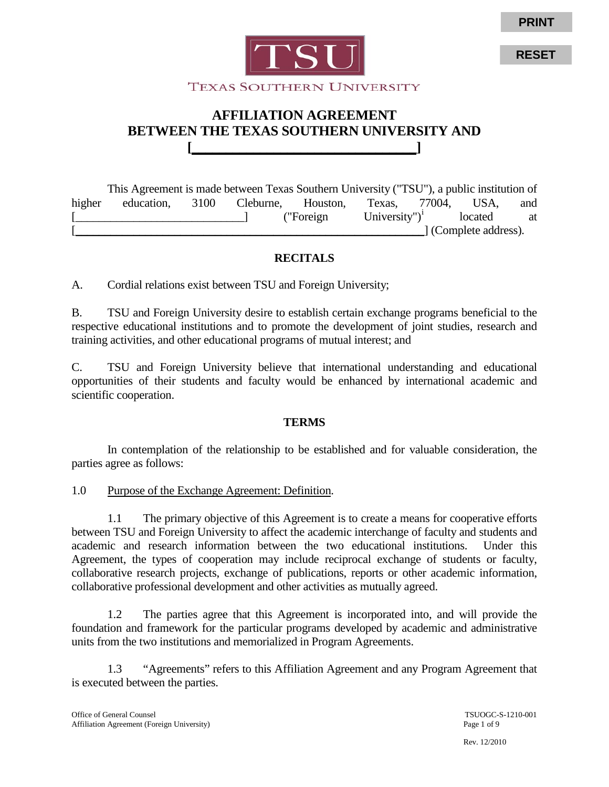

# **AFFILIATION AGREEMENT BETWEEN THE TEXAS SOUTHERN UNIVERSITY AND [\_\_\_\_\_\_\_\_\_\_\_\_\_\_\_\_\_\_\_\_\_\_\_\_\_\_\_\_\_\_\_\_\_]**

This Agreement is made between Texas Southern University ("TSU"), a public institution of higher education, 3100 Cleburne, Houston, Texas, 77004, USA, and [integral] ("Foreign University")<sup>i</sup> located at [\_\_\_\_\_\_\_\_\_\_\_\_\_\_\_\_\_\_\_\_\_\_\_\_\_\_\_\_\_\_\_\_\_\_\_\_\_\_\_\_\_\_\_\_\_\_\_\_\_\_\_\_\_\_\_\_\_\_\_\_] (Complete address).

# **RECITALS**

A. Cordial relations exist between TSU and Foreign University;

B. TSU and Foreign University desire to establish certain exchange programs beneficial to the respective educational institutions and to promote the development of joint studies, research and training activities, and other educational programs of mutual interest; and

C. TSU and Foreign University believe that international understanding and educational opportunities of their students and faculty would be enhanced by international academic and scientific cooperation.

# **TERMS**

In contemplation of the relationship to be established and for valuable consideration, the parties agree as follows:

1.0 Purpose of the Exchange Agreement: Definition.

1.1 The primary objective of this Agreement is to create a means for cooperative efforts between TSU and Foreign University to affect the academic interchange of faculty and students and academic and research information between the two educational institutions. Under this Agreement, the types of cooperation may include reciprocal exchange of students or faculty, collaborative research projects, exchange of publications, reports or other academic information, collaborative professional development and other activities as mutually agreed.

1.2 The parties agree that this Agreement is incorporated into, and will provide the foundation and framework for the particular programs developed by academic and administrative units from the two institutions and memorialized in Program Agreements.

1.3 "Agreements" refers to this Affiliation Agreement and any Program Agreement that is executed between the parties.

**RESET**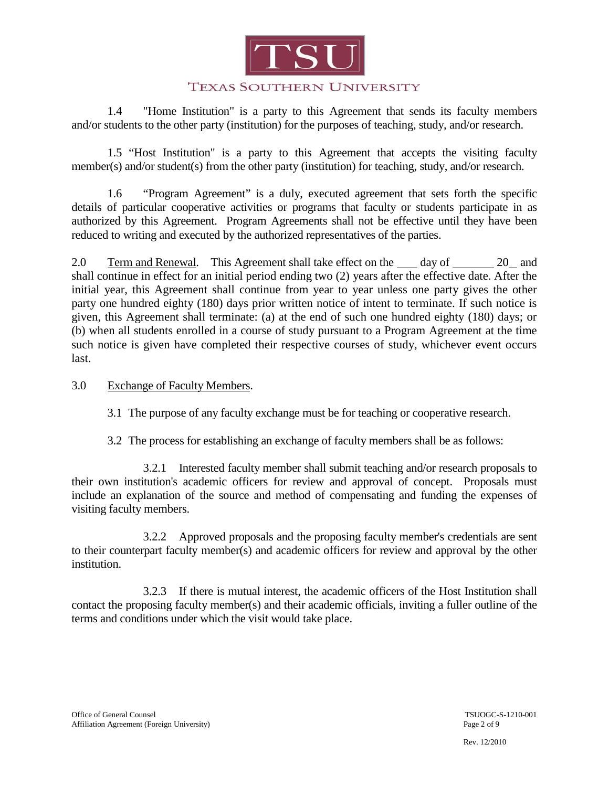

1.4 "Home Institution" is a party to this Agreement that sends its faculty members and/or students to the other party (institution) for the purposes of teaching, study, and/or research.

1.5 "Host Institution" is a party to this Agreement that accepts the visiting faculty member(s) and/or student(s) from the other party (institution) for teaching, study, and/or research.

1.6 "Program Agreement" is a duly, executed agreement that sets forth the specific details of particular cooperative activities or programs that faculty or students participate in as authorized by this Agreement. Program Agreements shall not be effective until they have been reduced to writing and executed by the authorized representatives of the parties.

2.0 Term and Renewal. This Agreement shall take effect on the day of 20 and shall continue in effect for an initial period ending two (2) years after the effective date. After the initial year, this Agreement shall continue from year to year unless one party gives the other party one hundred eighty (180) days prior written notice of intent to terminate. If such notice is given, this Agreement shall terminate: (a) at the end of such one hundred eighty (180) days; or (b) when all students enrolled in a course of study pursuant to a Program Agreement at the time such notice is given have completed their respective courses of study, whichever event occurs last.

#### 3.0 Exchange of Faculty Members.

3.1 The purpose of any faculty exchange must be for teaching or cooperative research.

3.2 The process for establishing an exchange of faculty members shall be as follows:

3.2.1 Interested faculty member shall submit teaching and/or research proposals to their own institution's academic officers for review and approval of concept. Proposals must include an explanation of the source and method of compensating and funding the expenses of visiting faculty members.

3.2.2 Approved proposals and the proposing faculty member's credentials are sent to their counterpart faculty member(s) and academic officers for review and approval by the other institution.

3.2.3 If there is mutual interest, the academic officers of the Host Institution shall contact the proposing faculty member(s) and their academic officials, inviting a fuller outline of the terms and conditions under which the visit would take place.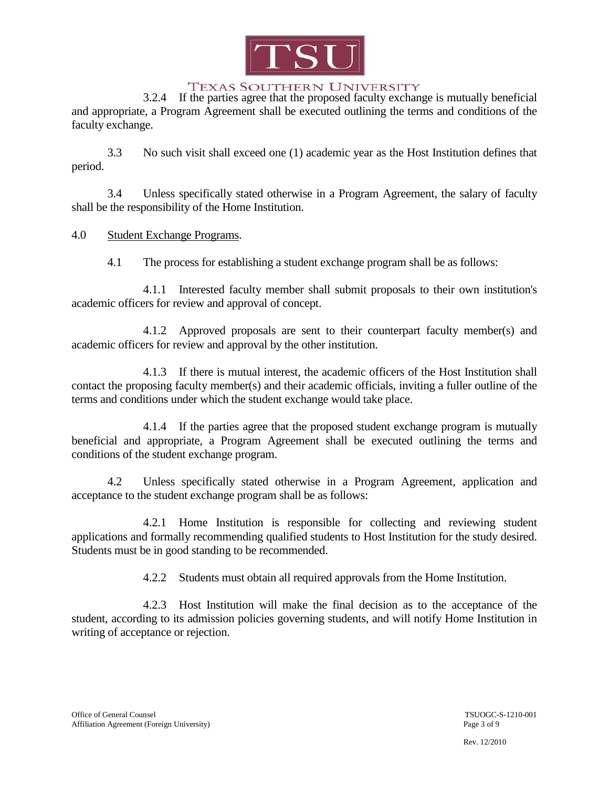

3.2.4 If the parties agree that the proposed faculty exchange is mutually beneficial and appropriate, a Program Agreement shall be executed outlining the terms and conditions of the faculty exchange.

3.3 No such visit shall exceed one (1) academic year as the Host Institution defines that period.

3.4 Unless specifically stated otherwise in a Program Agreement, the salary of faculty shall be the responsibility of the Home Institution.

## 4.0 Student Exchange Programs.

4.1 The process for establishing a student exchange program shall be as follows:

4.1.1 Interested faculty member shall submit proposals to their own institution's academic officers for review and approval of concept.

4.1.2 Approved proposals are sent to their counterpart faculty member(s) and academic officers for review and approval by the other institution.

4.1.3 If there is mutual interest, the academic officers of the Host Institution shall contact the proposing faculty member(s) and their academic officials, inviting a fuller outline of the terms and conditions under which the student exchange would take place.

4.1.4 If the parties agree that the proposed student exchange program is mutually beneficial and appropriate, a Program Agreement shall be executed outlining the terms and conditions of the student exchange program.

4.2 Unless specifically stated otherwise in a Program Agreement, application and acceptance to the student exchange program shall be as follows:

4.2.1 Home Institution is responsible for collecting and reviewing student applications and formally recommending qualified students to Host Institution for the study desired. Students must be in good standing to be recommended.

4.2.2 Students must obtain all required approvals from the Home Institution.

4.2.3 Host Institution will make the final decision as to the acceptance of the student, according to its admission policies governing students, and will notify Home Institution in writing of acceptance or rejection.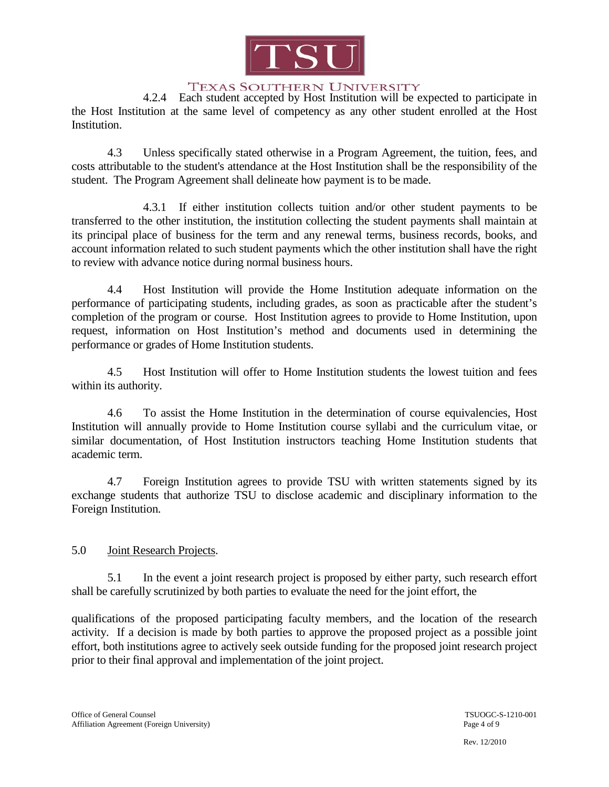

4.2.4 Each student accepted by Host Institution will be expected to participate in the Host Institution at the same level of competency as any other student enrolled at the Host Institution.

4.3 Unless specifically stated otherwise in a Program Agreement, the tuition, fees, and costs attributable to the student's attendance at the Host Institution shall be the responsibility of the student. The Program Agreement shall delineate how payment is to be made.

4.3.1 If either institution collects tuition and/or other student payments to be transferred to the other institution, the institution collecting the student payments shall maintain at its principal place of business for the term and any renewal terms, business records, books, and account information related to such student payments which the other institution shall have the right to review with advance notice during normal business hours.

4.4 Host Institution will provide the Home Institution adequate information on the performance of participating students, including grades, as soon as practicable after the student's completion of the program or course. Host Institution agrees to provide to Home Institution, upon request, information on Host Institution's method and documents used in determining the performance or grades of Home Institution students.

4.5 Host Institution will offer to Home Institution students the lowest tuition and fees within its authority.

4.6 To assist the Home Institution in the determination of course equivalencies, Host Institution will annually provide to Home Institution course syllabi and the curriculum vitae, or similar documentation, of Host Institution instructors teaching Home Institution students that academic term.

4.7 Foreign Institution agrees to provide TSU with written statements signed by its exchange students that authorize TSU to disclose academic and disciplinary information to the Foreign Institution.

#### 5.0 Joint Research Projects.

5.1 In the event a joint research project is proposed by either party, such research effort shall be carefully scrutinized by both parties to evaluate the need for the joint effort, the

qualifications of the proposed participating faculty members, and the location of the research activity. If a decision is made by both parties to approve the proposed project as a possible joint effort, both institutions agree to actively seek outside funding for the proposed joint research project prior to their final approval and implementation of the joint project.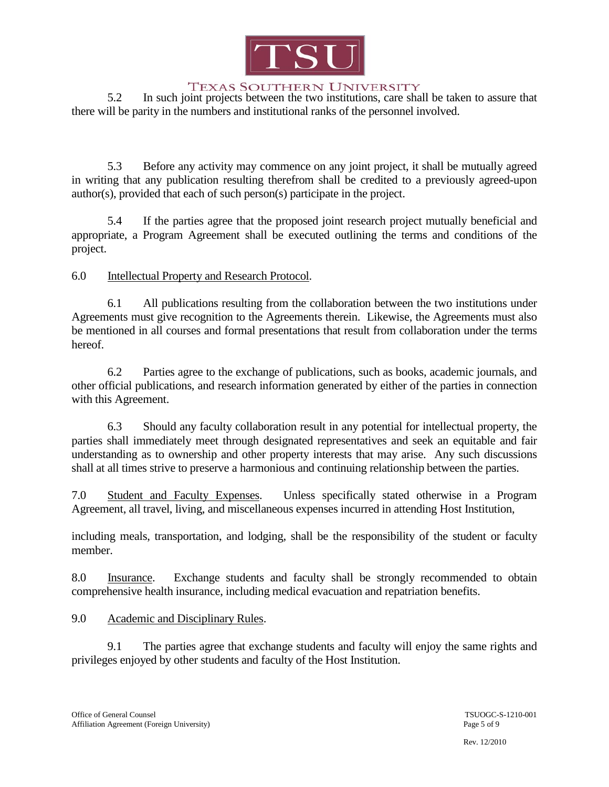

5.2 In such joint projects between the two institutions, care shall be taken to assure that there will be parity in the numbers and institutional ranks of the personnel involved.

5.3 Before any activity may commence on any joint project, it shall be mutually agreed in writing that any publication resulting therefrom shall be credited to a previously agreed-upon author(s), provided that each of such person(s) participate in the project.

5.4 If the parties agree that the proposed joint research project mutually beneficial and appropriate, a Program Agreement shall be executed outlining the terms and conditions of the project.

6.0 Intellectual Property and Research Protocol.

6.1 All publications resulting from the collaboration between the two institutions under Agreements must give recognition to the Agreements therein. Likewise, the Agreements must also be mentioned in all courses and formal presentations that result from collaboration under the terms hereof.

6.2 Parties agree to the exchange of publications, such as books, academic journals, and other official publications, and research information generated by either of the parties in connection with this Agreement.

6.3 Should any faculty collaboration result in any potential for intellectual property, the parties shall immediately meet through designated representatives and seek an equitable and fair understanding as to ownership and other property interests that may arise. Any such discussions shall at all times strive to preserve a harmonious and continuing relationship between the parties.

7.0 Student and Faculty Expenses. Unless specifically stated otherwise in a Program Agreement, all travel, living, and miscellaneous expenses incurred in attending Host Institution,

including meals, transportation, and lodging, shall be the responsibility of the student or faculty member.

8.0 Insurance. Exchange students and faculty shall be strongly recommended to obtain comprehensive health insurance, including medical evacuation and repatriation benefits.

# 9.0 Academic and Disciplinary Rules.

9.1 The parties agree that exchange students and faculty will enjoy the same rights and privileges enjoyed by other students and faculty of the Host Institution.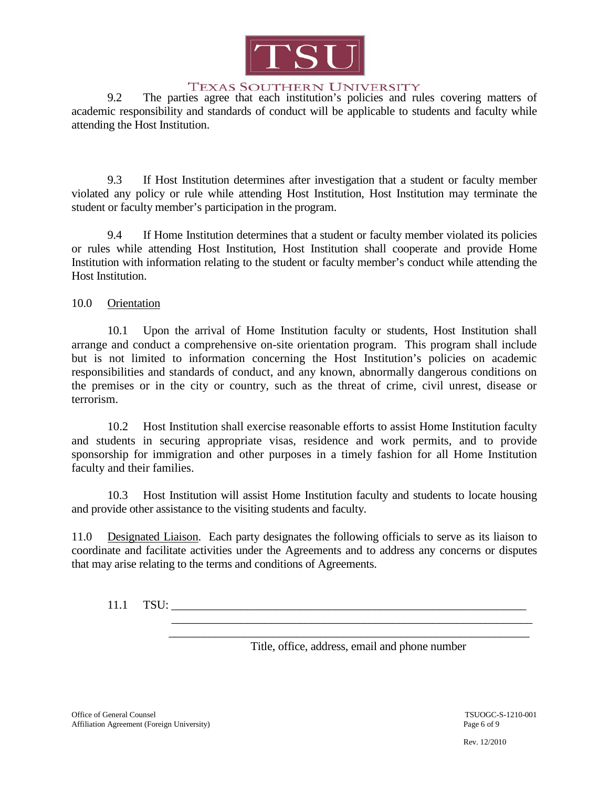

9.2 The parties agree that each institution's policies and rules covering matters of academic responsibility and standards of conduct will be applicable to students and faculty while attending the Host Institution.

9.3 If Host Institution determines after investigation that a student or faculty member violated any policy or rule while attending Host Institution, Host Institution may terminate the student or faculty member's participation in the program.

9.4 If Home Institution determines that a student or faculty member violated its policies or rules while attending Host Institution, Host Institution shall cooperate and provide Home Institution with information relating to the student or faculty member's conduct while attending the Host Institution.

10.0 Orientation

10.1 Upon the arrival of Home Institution faculty or students, Host Institution shall arrange and conduct a comprehensive on-site orientation program. This program shall include but is not limited to information concerning the Host Institution's policies on academic responsibilities and standards of conduct, and any known, abnormally dangerous conditions on the premises or in the city or country, such as the threat of crime, civil unrest, disease or terrorism.

10.2 Host Institution shall exercise reasonable efforts to assist Home Institution faculty and students in securing appropriate visas, residence and work permits, and to provide sponsorship for immigration and other purposes in a timely fashion for all Home Institution faculty and their families.

10.3 Host Institution will assist Home Institution faculty and students to locate housing and provide other assistance to the visiting students and faculty.

11.0 Designated Liaison. Each party designates the following officials to serve as its liaison to coordinate and facilitate activities under the Agreements and to address any concerns or disputes that may arise relating to the terms and conditions of Agreements.

11.1 TSU:

Title, office, address, email and phone number

 $\frac{1}{2}$  ,  $\frac{1}{2}$  ,  $\frac{1}{2}$  ,  $\frac{1}{2}$  ,  $\frac{1}{2}$  ,  $\frac{1}{2}$  ,  $\frac{1}{2}$  ,  $\frac{1}{2}$  ,  $\frac{1}{2}$  ,  $\frac{1}{2}$  ,  $\frac{1}{2}$  ,  $\frac{1}{2}$  ,  $\frac{1}{2}$  ,  $\frac{1}{2}$  ,  $\frac{1}{2}$  ,  $\frac{1}{2}$  ,  $\frac{1}{2}$  ,  $\frac{1}{2}$  ,  $\frac{1$  $\frac{1}{2}$  ,  $\frac{1}{2}$  ,  $\frac{1}{2}$  ,  $\frac{1}{2}$  ,  $\frac{1}{2}$  ,  $\frac{1}{2}$  ,  $\frac{1}{2}$  ,  $\frac{1}{2}$  ,  $\frac{1}{2}$  ,  $\frac{1}{2}$  ,  $\frac{1}{2}$  ,  $\frac{1}{2}$  ,  $\frac{1}{2}$  ,  $\frac{1}{2}$  ,  $\frac{1}{2}$  ,  $\frac{1}{2}$  ,  $\frac{1}{2}$  ,  $\frac{1}{2}$  ,  $\frac{1$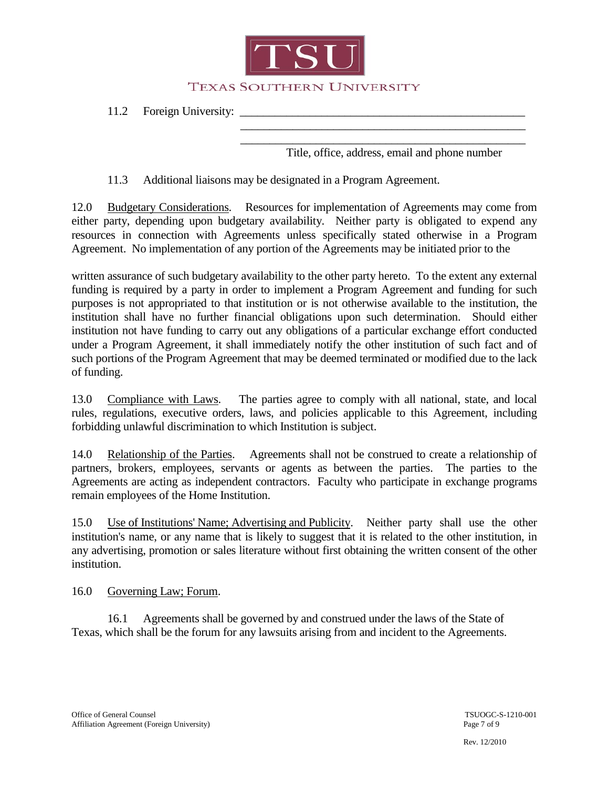

11.2 Foreign University: \_\_\_\_\_\_\_\_\_\_\_\_\_\_\_\_\_\_\_\_\_\_\_\_\_\_\_\_\_\_\_\_\_\_\_\_\_\_\_\_\_\_\_\_\_\_\_\_\_

Title, office, address, email and phone number

 $\frac{1}{2}$  ,  $\frac{1}{2}$  ,  $\frac{1}{2}$  ,  $\frac{1}{2}$  ,  $\frac{1}{2}$  ,  $\frac{1}{2}$  ,  $\frac{1}{2}$  ,  $\frac{1}{2}$  ,  $\frac{1}{2}$  ,  $\frac{1}{2}$  ,  $\frac{1}{2}$  ,  $\frac{1}{2}$  ,  $\frac{1}{2}$  ,  $\frac{1}{2}$  ,  $\frac{1}{2}$  ,  $\frac{1}{2}$  ,  $\frac{1}{2}$  ,  $\frac{1}{2}$  ,  $\frac{1$  $\frac{1}{2}$  ,  $\frac{1}{2}$  ,  $\frac{1}{2}$  ,  $\frac{1}{2}$  ,  $\frac{1}{2}$  ,  $\frac{1}{2}$  ,  $\frac{1}{2}$  ,  $\frac{1}{2}$  ,  $\frac{1}{2}$  ,  $\frac{1}{2}$  ,  $\frac{1}{2}$  ,  $\frac{1}{2}$  ,  $\frac{1}{2}$  ,  $\frac{1}{2}$  ,  $\frac{1}{2}$  ,  $\frac{1}{2}$  ,  $\frac{1}{2}$  ,  $\frac{1}{2}$  ,  $\frac{1$ 

11.3 Additional liaisons may be designated in a Program Agreement.

12.0 Budgetary Considerations. Resources for implementation of Agreements may come from either party, depending upon budgetary availability. Neither party is obligated to expend any resources in connection with Agreements unless specifically stated otherwise in a Program Agreement. No implementation of any portion of the Agreements may be initiated prior to the

written assurance of such budgetary availability to the other party hereto. To the extent any external funding is required by a party in order to implement a Program Agreement and funding for such purposes is not appropriated to that institution or is not otherwise available to the institution, the institution shall have no further financial obligations upon such determination. Should either institution not have funding to carry out any obligations of a particular exchange effort conducted under a Program Agreement, it shall immediately notify the other institution of such fact and of such portions of the Program Agreement that may be deemed terminated or modified due to the lack of funding.

13.0 Compliance with Laws. The parties agree to comply with all national, state, and local rules, regulations, executive orders, laws, and policies applicable to this Agreement, including forbidding unlawful discrimination to which Institution is subject.

14.0 Relationship of the Parties. Agreements shall not be construed to create a relationship of partners, brokers, employees, servants or agents as between the parties. The parties to the Agreements are acting as independent contractors. Faculty who participate in exchange programs remain employees of the Home Institution.

15.0 Use of Institutions' Name; Advertising and Publicity. Neither party shall use the other institution's name, or any name that is likely to suggest that it is related to the other institution, in any advertising, promotion or sales literature without first obtaining the written consent of the other institution.

16.0 Governing Law; Forum.

16.1 Agreements shall be governed by and construed under the laws of the State of Texas, which shall be the forum for any lawsuits arising from and incident to the Agreements.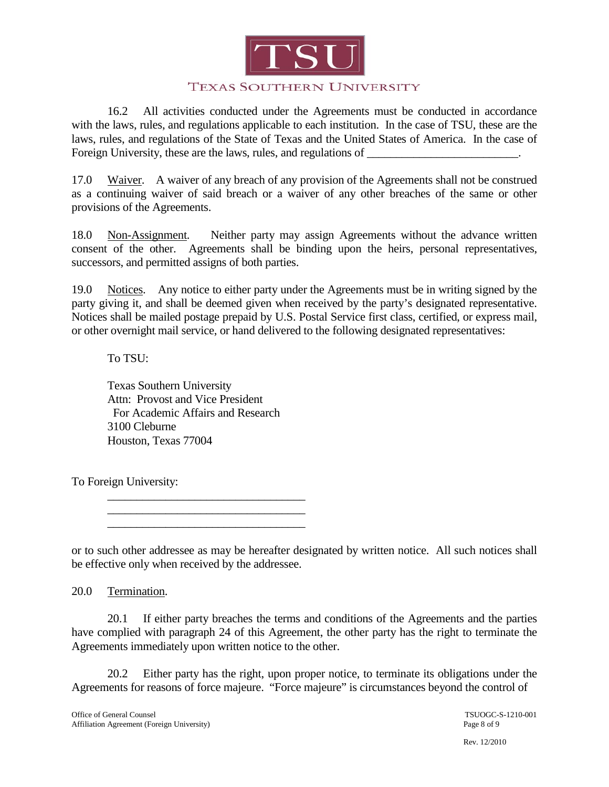

16.2 All activities conducted under the Agreements must be conducted in accordance with the laws, rules, and regulations applicable to each institution. In the case of TSU, these are the laws, rules, and regulations of the State of Texas and the United States of America. In the case of Foreign University, these are the laws, rules, and regulations of \_\_\_\_\_\_\_\_\_\_\_\_\_\_\_\_\_\_\_\_\_\_.

17.0 Waiver. A waiver of any breach of any provision of the Agreements shall not be construed as a continuing waiver of said breach or a waiver of any other breaches of the same or other provisions of the Agreements.

18.0 Non-Assignment. Neither party may assign Agreements without the advance written consent of the other. Agreements shall be binding upon the heirs, personal representatives, successors, and permitted assigns of both parties.

19.0 Notices. Any notice to either party under the Agreements must be in writing signed by the party giving it, and shall be deemed given when received by the party's designated representative. Notices shall be mailed postage prepaid by U.S. Postal Service first class, certified, or express mail, or other overnight mail service, or hand delivered to the following designated representatives:

#### To TSU:

Texas Southern University Attn: Provost and Vice President For Academic Affairs and Research 3100 Cleburne Houston, Texas 77004

To Foreign University:

\_\_\_\_\_\_\_\_\_\_\_\_\_\_\_\_\_\_\_\_\_\_\_\_\_\_\_\_\_\_\_\_\_\_ \_\_\_\_\_\_\_\_\_\_\_\_\_\_\_\_\_\_\_\_\_\_\_\_\_\_\_\_\_\_\_\_\_\_

\_\_\_\_\_\_\_\_\_\_\_\_\_\_\_\_\_\_\_\_\_\_\_\_\_\_\_\_\_\_\_\_\_\_

or to such other addressee as may be hereafter designated by written notice. All such notices shall be effective only when received by the addressee.

20.0 Termination.

20.1 If either party breaches the terms and conditions of the Agreements and the parties have complied with paragraph 24 of this Agreement, the other party has the right to terminate the Agreements immediately upon written notice to the other.

20.2 Either party has the right, upon proper notice, to terminate its obligations under the Agreements for reasons of force majeure. "Force majeure" is circumstances beyond the control of